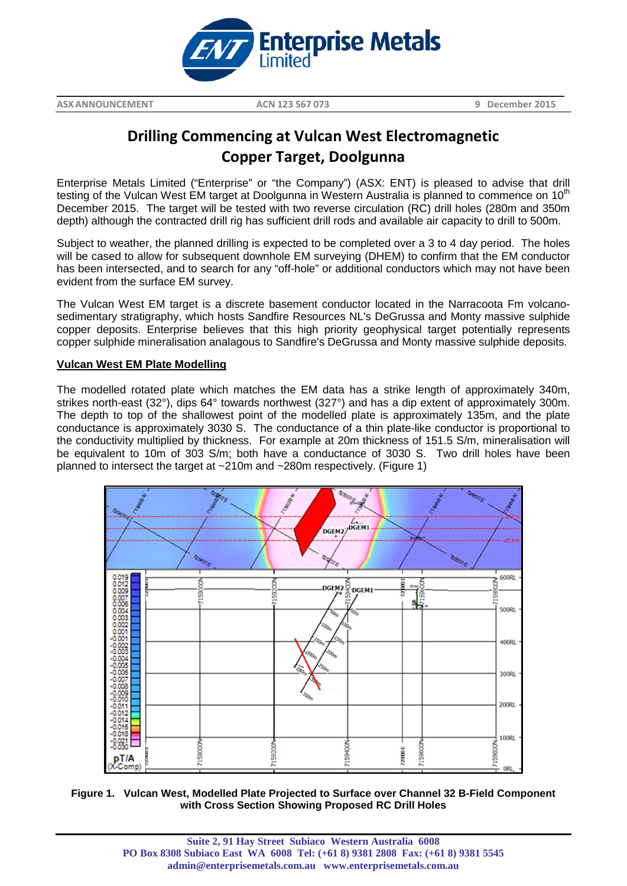

**\_\_\_\_\_\_\_\_\_\_\_\_\_\_\_\_\_\_\_\_\_\_\_\_\_\_\_\_\_\_\_\_\_\_\_\_\_\_\_\_\_\_\_\_\_\_\_\_\_\_\_\_\_\_\_\_\_\_\_\_\_\_\_\_\_\_\_\_\_\_\_\_\_\_\_\_\_\_\_\_\_\_\_\_\_\_\_\_\_\_\_\_\_\_\_\_\_\_\_\_\_\_\_\_\_\_\_\_\_\_\_\_\_\_\_\_\_\_\_\_\_**

**ASXANNOUNCEMENT ACN 123 567 073 9 December 2015**

# **Drilling Commencing at Vulcan West Electromagnetic Copper Target, Doolgunna**

Enterprise Metals Limited ("Enterprise" or "the Company") (ASX: ENT) is pleased to advise that drill testing of the Vulcan West EM target at Doolgunna in Western Australia is planned to commence on 10<sup>th</sup> December 2015. The target will be tested with two reverse circulation (RC) drill holes (280m and 350m depth) although the contracted drill rig has sufficient drill rods and available air capacity to drill to 500m.

Subject to weather, the planned drilling is expected to be completed over a 3 to 4 day period. The holes will be cased to allow for subsequent downhole EM surveying (DHEM) to confirm that the EM conductor has been intersected, and to search for any "off-hole" or additional conductors which may not have been evident from the surface EM survey.

The Vulcan West EM target is a discrete basement conductor located in the Narracoota Fm volcanosedimentary stratigraphy, which hosts Sandfire Resources NL's DeGrussa and Monty massive sulphide copper deposits. Enterprise believes that this high priority geophysical target potentially represents copper sulphide mineralisation analagous to Sandfire's DeGrussa and Monty massive sulphide deposits.

# **Vulcan West EM Plate Modelling**

The modelled rotated plate which matches the EM data has a strike length of approximately 340m, strikes north-east (32°), dips 64° towards northwest (327°) and has a dip extent of approximately 300m. The depth to top of the shallowest point of the modelled plate is approximately 135m, and the plate conductance is approximately 3030 S. The conductance of a thin plate-like conductor is proportional to the conductivity multiplied by thickness. For example at 20m thickness of 151.5 S/m, mineralisation will be equivalent to 10m of 303 S/m; both have a conductance of 3030 S. Two drill holes have been planned to intersect the target at ~210m and ~280m respectively. (Figure 1)



**Figure 1. Vulcan West, Modelled Plate Projected to Surface over Channel 32 B-Field Component with Cross Section Showing Proposed RC Drill Holes**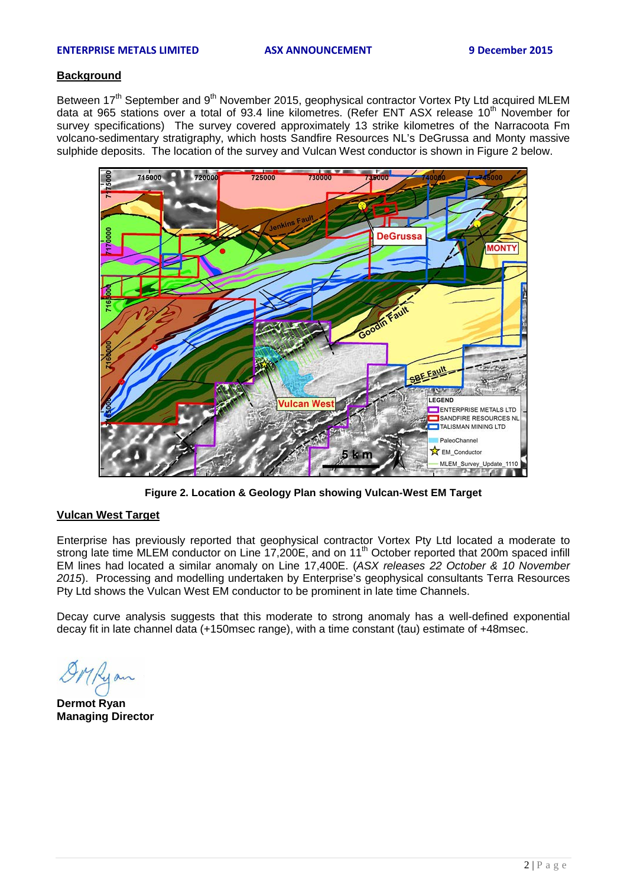### **ENTERPRISE METALS LIMITED ASX ANNOUNCEMENT 9 December 2015**

## **Background**

Between 17<sup>th</sup> September and 9<sup>th</sup> November 2015, geophysical contractor Vortex Pty Ltd acquired MLEM data at 965 stations over a total of 93.4 line kilometres. (Refer ENT ASX release 10<sup>th</sup> November for survey specifications) The survey covered approximately 13 strike kilometres of the Narracoota Fm volcano-sedimentary stratigraphy, which hosts Sandfire Resources NL's DeGrussa and Monty massive sulphide deposits. The location of the survey and Vulcan West conductor is shown in Figure 2 below.



**Figure 2. Location & Geology Plan showing Vulcan-West EM Target**

## **Vulcan West Target**

Enterprise has previously reported that geophysical contractor Vortex Pty Ltd located a moderate to strong late time MLEM conductor on Line 17,200E, and on 11<sup>th</sup> October reported that 200m spaced infill EM lines had located a similar anomaly on Line 17,400E. (*ASX releases 22 October & 10 November 2015*). Processing and modelling undertaken by Enterprise's geophysical consultants Terra Resources Pty Ltd shows the Vulcan West EM conductor to be prominent in late time Channels.

Decay curve analysis suggests that this moderate to strong anomaly has a well-defined exponential decay fit in late channel data (+150msec range), with a time constant (tau) estimate of +48msec.

**Dermot Ryan Managing Director**